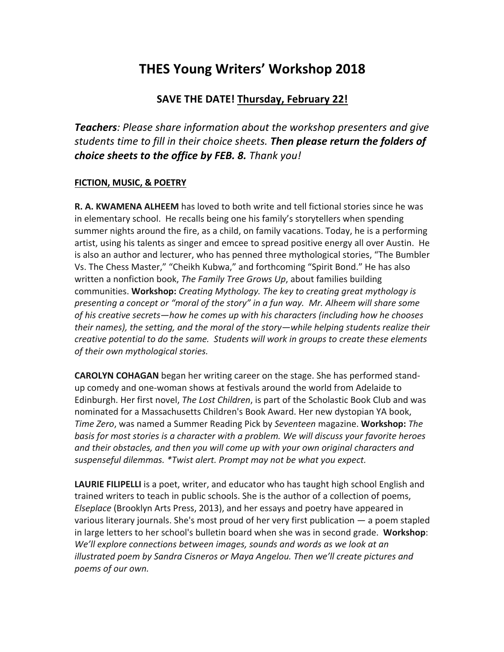## **THES Young Writers' Workshop 2018**

## **SAVE THE DATE! Thursday, February 22!**

**Teachers**: Please share information about the workshop presenters and give *students time to fill in their choice sheets.* **Then please return the folders of** *choice sheets to the office by FEB. 8. Thank you!* 

## **FICTION, MUSIC, & POETRY**

**R. A. KWAMENA ALHEEM** has loved to both write and tell fictional stories since he was in elementary school. He recalls being one his family's storytellers when spending summer nights around the fire, as a child, on family vacations. Today, he is a performing artist, using his talents as singer and emcee to spread positive energy all over Austin. He is also an author and lecturer, who has penned three mythological stories, "The Bumbler Vs. The Chess Master," "Cheikh Kubwa," and forthcoming "Spirit Bond." He has also written a nonfiction book, *The Family Tree Grows Up*, about families building communities. Workshop: *Creating Mythology. The key to creating great mythology is* presenting a concept or "moral of the story" in a fun way. Mr. Alheem will share some of his creative secrets—how he comes up with his characters (including how he chooses *their names), the setting, and the moral of the story—while helping students realize their creative potential to do the same. Students will work in groups to create these elements of their own mythological stories.*

**CAROLYN COHAGAN** began her writing career on the stage. She has performed standup comedy and one-woman shows at festivals around the world from Adelaide to Edinburgh. Her first novel, *The Lost Children*, is part of the Scholastic Book Club and was nominated for a Massachusetts Children's Book Award. Her new dystopian YA book, *Time Zero,* was named a Summer Reading Pick by *Seventeen* magazine. **Workshop:** *The* basis for most stories is a character with a problem. We will discuss your favorite heroes and their obstacles, and then you will come up with your own original characters and suspenseful dilemmas. \*Twist alert. Prompt may not be what you expect.

**LAURIE FILIPELLI** is a poet, writer, and educator who has taught high school English and trained writers to teach in public schools. She is the author of a collection of poems, *Elseplace* (Brooklyn Arts Press, 2013), and her essays and poetry have appeared in various literary journals. She's most proud of her very first publication  $-$  a poem stapled in large letters to her school's bulletin board when she was in second grade. Workshop: *We'll* explore connections between images, sounds and words as we look at an *illustrated poem by Sandra Cisneros or Maya Angelou. Then we'll create pictures and poems of our own.*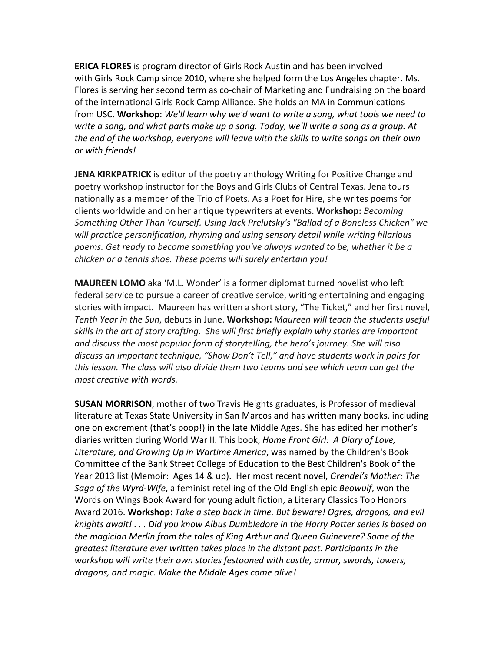**ERICA FLORES** is program director of Girls Rock Austin and has been involved with Girls Rock Camp since 2010, where she helped form the Los Angeles chapter. Ms. Flores is serving her second term as co-chair of Marketing and Fundraising on the board of the international Girls Rock Camp Alliance. She holds an MA in Communications from USC. **Workshop**: We'll learn why we'd want to write a song, what tools we need to *write a song, and what parts make up a song. Today, we'll write a song as a group. At the end of the workshop, everyone will leave with the skills to write songs on their own or with friends!*

**JENA KIRKPATRICK** is editor of the poetry anthology Writing for Positive Change and poetry workshop instructor for the Boys and Girls Clubs of Central Texas. Jena tours nationally as a member of the Trio of Poets. As a Poet for Hire, she writes poems for clients worldwide and on her antique typewriters at events. Workshop: *Becoming* Something Other Than Yourself. Using Jack Prelutsky's "Ballad of a Boneless Chicken" we will practice personification, rhyming and using sensory detail while writing hilarious poems. Get ready to become something you've always wanted to be, whether it be a *chicken or a tennis shoe. These poems will surely entertain you!* 

**MAUREEN LOMO** aka 'M.L. Wonder' is a former diplomat turned novelist who left federal service to pursue a career of creative service, writing entertaining and engaging stories with impact. Maureen has written a short story, "The Ticket," and her first novel, *Tenth Year in the Sun, debuts in June.* Workshop: Maureen will teach the students useful skills in the art of story crafting. She will first briefly explain why stories are important and discuss the most popular form of storytelling, the hero's journey. She will also discuss an important technique, "Show Don't Tell," and have students work in pairs for *this* lesson. The class will also divide them two teams and see which team can get the *most creative with words.*

**SUSAN MORRISON**, mother of two Travis Heights graduates, is Professor of medieval literature at Texas State University in San Marcos and has written many books, including one on excrement (that's poop!) in the late Middle Ages. She has edited her mother's diaries written during World War II. This book, *Home Front Girl: A Diary of Love*, Literature, and Growing Up in Wartime America, was named by the Children's Book Committee of the Bank Street College of Education to the Best Children's Book of the Year 2013 list (Memoir: Ages 14 & up). Her most recent novel, *Grendel's Mother: The Saga of the Wyrd-Wife*, a feminist retelling of the Old English epic *Beowulf*, won the Words on Wings Book Award for young adult fiction, a Literary Classics Top Honors Award 2016. Workshop: Take a step back in time. But beware! Ogres, dragons, and evil *knights* await! . . . Did you know Albus Dumbledore in the Harry Potter series is based on *the magician Merlin from the tales of King Arthur and Queen Guinevere? Some of the greatest literature ever written takes place in the distant past. Participants in the workshop* will write their own stories festooned with castle, armor, swords, towers, dragons, and magic. Make the Middle Ages come alive!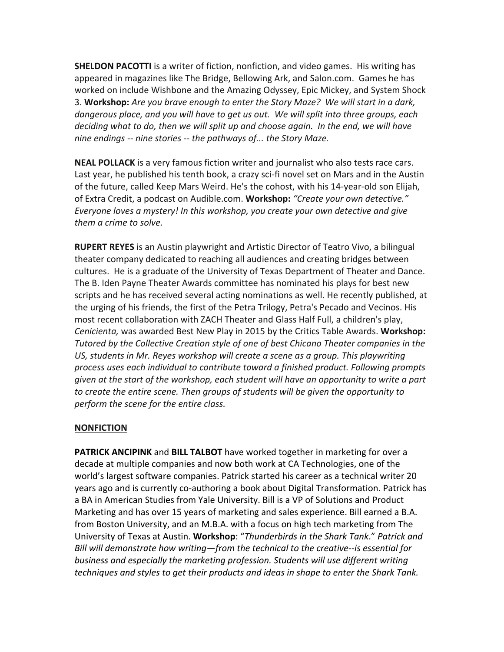**SHELDON PACOTTI** is a writer of fiction, nonfiction, and video games. His writing has appeared in magazines like The Bridge, Bellowing Ark, and Salon.com. Games he has worked on include Wishbone and the Amazing Odyssey, Epic Mickey, and System Shock 3. **Workshop:** Are you brave enough to enter the Story Maze? We will start in a dark, dangerous place, and you will have to get us out. We will split into three groups, each *deciding* what to do, then we will split up and choose again. In the end, we will have *nine endings* -- *nine stories* -- *the pathways of... the Story Maze.* 

**NEAL POLLACK** is a very famous fiction writer and journalist who also tests race cars. Last year, he published his tenth book, a crazy sci-fi novel set on Mars and in the Austin of the future, called Keep Mars Weird. He's the cohost, with his 14-year-old son Elijah, of Extra Credit, a podcast on Audible.com. Workshop: "Create your own detective." *Everyone loves a mystery! In this workshop, you create your own detective and give them a crime to solve.*

**RUPERT REYES** is an Austin playwright and Artistic Director of Teatro Vivo, a bilingual theater company dedicated to reaching all audiences and creating bridges between cultures. He is a graduate of the University of Texas Department of Theater and Dance. The B. Iden Payne Theater Awards committee has nominated his plays for best new scripts and he has received several acting nominations as well. He recently published, at the urging of his friends, the first of the Petra Trilogy, Petra's Pecado and Vecinos. His most recent collaboration with ZACH Theater and Glass Half Full, a children's play, *Cenicienta,* was awarded Best New Play in 2015 by the Critics Table Awards. Workshop: Tutored by the Collective Creation style of one of best Chicano Theater companies in the US, students in Mr. Reyes workshop will create a scene as a group. This playwriting process uses each individual to contribute toward a finished product. Following prompts *given* at the start of the workshop, each student will have an opportunity to write a part *to* create the entire scene. Then groups of students will be given the opportunity to *perform the scene for the entire class.*

## **NONFICTION**

**PATRICK ANCIPINK** and **BILL TALBOT** have worked together in marketing for over a decade at multiple companies and now both work at CA Technologies, one of the world's largest software companies. Patrick started his career as a technical writer 20 years ago and is currently co-authoring a book about Digital Transformation. Patrick has a BA in American Studies from Yale University. Bill is a VP of Solutions and Product Marketing and has over 15 years of marketing and sales experience. Bill earned a B.A. from Boston University, and an M.B.A. with a focus on high tech marketing from The University of Texas at Austin. Workshop: "Thunderbirds in the Shark Tank." Patrick and *Bill will demonstrate how writing—from the technical to the creative--is essential for* business and especially the marketing profession. Students will use different writing *techniques and styles to get their products and ideas in shape to enter the Shark Tank.*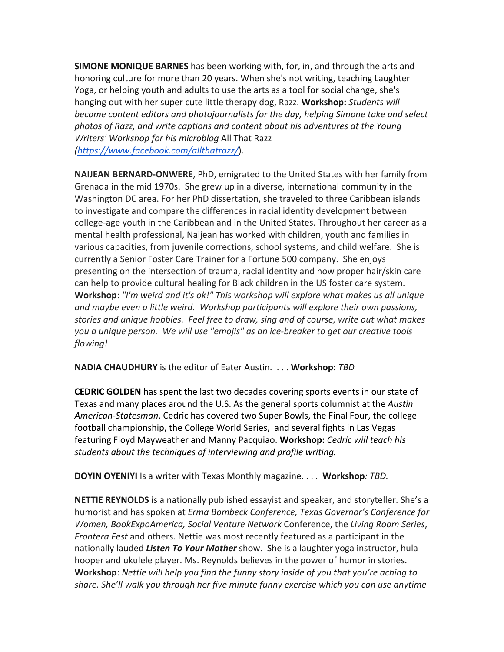**SIMONE MONIQUE BARNES** has been working with, for, in, and through the arts and honoring culture for more than 20 years. When she's not writing, teaching Laughter Yoga, or helping youth and adults to use the arts as a tool for social change, she's hanging out with her super cute little therapy dog, Razz. **Workshop:** *Students will become content editors and photojournalists for the day, helping Simone take and select* photos of Razz, and write captions and content about his adventures at the Young *Writers' Workshop for his microblog All That Razz (https://www.facebook.com/allthatrazz/*).

**NAIJEAN BERNARD-ONWERE,** PhD, emigrated to the United States with her family from Grenada in the mid 1970s. She grew up in a diverse, international community in the Washington DC area. For her PhD dissertation, she traveled to three Caribbean islands to investigate and compare the differences in racial identity development between college-age youth in the Caribbean and in the United States. Throughout her career as a mental health professional, Naijean has worked with children, youth and families in various capacities, from juvenile corrections, school systems, and child welfare. She is currently a Senior Foster Care Trainer for a Fortune 500 company. She enjoys presenting on the intersection of trauma, racial identity and how proper hair/skin care can help to provide cultural healing for Black children in the US foster care system. **Workshop**: "I'm weird and it's ok!" This workshop will explore what makes us all unique and maybe even a little weird. Workshop participants will explore their own passions, stories and unique hobbies. Feel free to draw, sing and of course, write out what makes you a unique person. We will use "emojis" as an ice-breaker to get our creative tools *flowing!*

**NADIA CHAUDHURY** is the editor of Eater Austin. . . . Workshop: TBD

**CEDRIC GOLDEN** has spent the last two decades covering sports events in our state of Texas and many places around the U.S. As the general sports columnist at the *Austin* American-Statesman, Cedric has covered two Super Bowls, the Final Four, the college football championship, the College World Series, and several fights in Las Vegas featuring Floyd Mayweather and Manny Pacquiao. Workshop: Cedric will teach his students about the techniques of interviewing and profile writing.

**DOYIN OYENIYI** Is a writer with Texas Monthly magazine. . . . Workshop: TBD.

**NETTIE REYNOLDS** is a nationally published essayist and speaker, and storyteller. She's a humorist and has spoken at *Erma Bombeck Conference, Texas Governor's Conference for Women, BookExpoAmerica, Social Venture Network Conference, the Living Room Series, Frontera Fest* and others. Nettie was most recently featured as a participant in the nationally lauded *Listen To Your Mother* show. She is a laughter yoga instructor, hula hooper and ukulele player. Ms. Reynolds believes in the power of humor in stories. **Workshop**: *Nettie will help you find the funny story inside of you that you're aching to* share. She'll walk you through her five minute funny exercise which you can use anytime